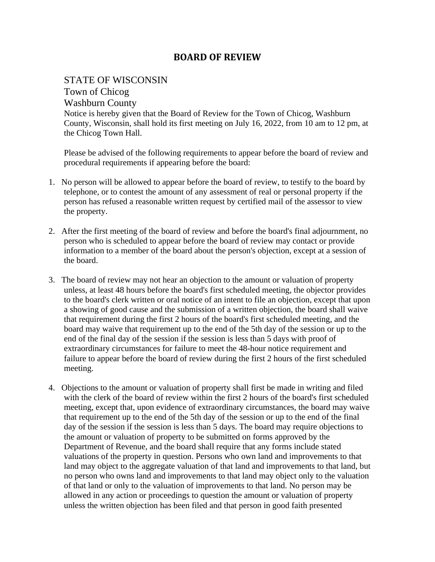## **BOARD OF REVIEW**

## STATE OF WISCONSIN

Town of Chicog

Washburn County

Notice is hereby given that the Board of Review for the Town of Chicog, Washburn County, Wisconsin, shall hold its first meeting on July 16, 2022, from 10 am to 12 pm, at the Chicog Town Hall.

Please be advised of the following requirements to appear before the board of review and procedural requirements if appearing before the board:

- 1. No person will be allowed to appear before the board of review, to testify to the board by telephone, or to contest the amount of any assessment of real or personal property if the person has refused a reasonable written request by certified mail of the assessor to view the property.
- 2. After the first meeting of the board of review and before the board's final adjournment, no person who is scheduled to appear before the board of review may contact or provide information to a member of the board about the person's objection, except at a session of the board.
- 3. The board of review may not hear an objection to the amount or valuation of property unless, at least 48 hours before the board's first scheduled meeting, the objector provides to the board's clerk written or oral notice of an intent to file an objection, except that upon a showing of good cause and the submission of a written objection, the board shall waive that requirement during the first 2 hours of the board's first scheduled meeting, and the board may waive that requirement up to the end of the 5th day of the session or up to the end of the final day of the session if the session is less than 5 days with proof of extraordinary circumstances for failure to meet the 48-hour notice requirement and failure to appear before the board of review during the first 2 hours of the first scheduled meeting.
- 4. Objections to the amount or valuation of property shall first be made in writing and filed with the clerk of the board of review within the first 2 hours of the board's first scheduled meeting, except that, upon evidence of extraordinary circumstances, the board may waive that requirement up to the end of the 5th day of the session or up to the end of the final day of the session if the session is less than 5 days. The board may require objections to the amount or valuation of property to be submitted on forms approved by the Department of Revenue, and the board shall require that any forms include stated valuations of the property in question. Persons who own land and improvements to that land may object to the aggregate valuation of that land and improvements to that land, but no person who owns land and improvements to that land may object only to the valuation of that land or only to the valuation of improvements to that land. No person may be allowed in any action or proceedings to question the amount or valuation of property unless the written objection has been filed and that person in good faith presented